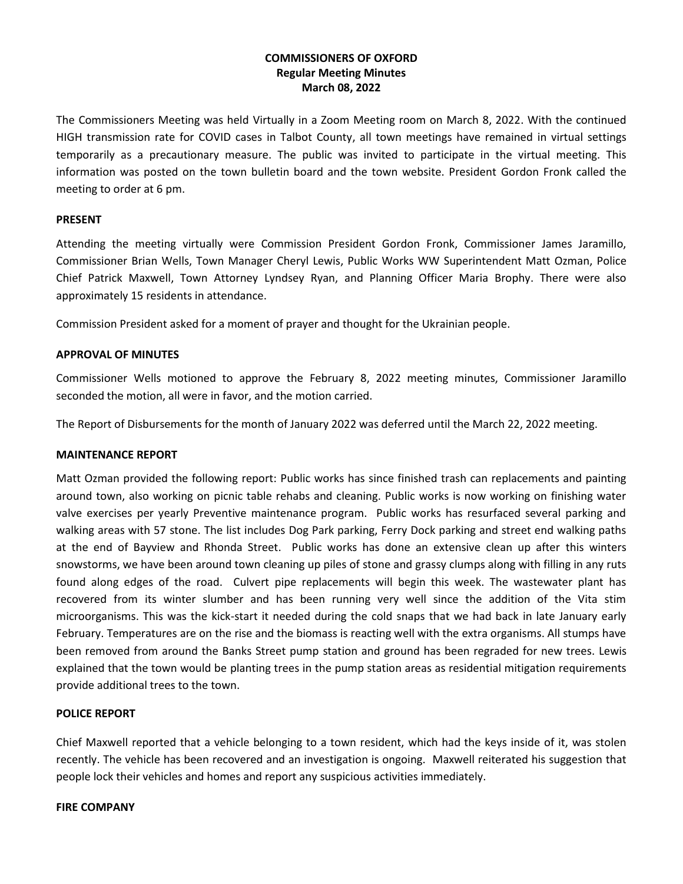# **COMMISSIONERS OF OXFORD Regular Meeting Minutes March 08, 2022**

The Commissioners Meeting was held Virtually in a Zoom Meeting room on March 8, 2022. With the continued HIGH transmission rate for COVID cases in Talbot County, all town meetings have remained in virtual settings temporarily as a precautionary measure. The public was invited to participate in the virtual meeting. This information was posted on the town bulletin board and the town website. President Gordon Fronk called the meeting to order at 6 pm.

#### **PRESENT**

Attending the meeting virtually were Commission President Gordon Fronk, Commissioner James Jaramillo, Commissioner Brian Wells, Town Manager Cheryl Lewis, Public Works WW Superintendent Matt Ozman, Police Chief Patrick Maxwell, Town Attorney Lyndsey Ryan, and Planning Officer Maria Brophy. There were also approximately 15 residents in attendance.

Commission President asked for a moment of prayer and thought for the Ukrainian people.

#### **APPROVAL OF MINUTES**

Commissioner Wells motioned to approve the February 8, 2022 meeting minutes, Commissioner Jaramillo seconded the motion, all were in favor, and the motion carried.

The Report of Disbursements for the month of January 2022 was deferred until the March 22, 2022 meeting.

## **MAINTENANCE REPORT**

Matt Ozman provided the following report: Public works has since finished trash can replacements and painting around town, also working on picnic table rehabs and cleaning. Public works is now working on finishing water valve exercises per yearly Preventive maintenance program. Public works has resurfaced several parking and walking areas with 57 stone. The list includes Dog Park parking, Ferry Dock parking and street end walking paths at the end of Bayview and Rhonda Street. Public works has done an extensive clean up after this winters snowstorms, we have been around town cleaning up piles of stone and grassy clumps along with filling in any ruts found along edges of the road. Culvert pipe replacements will begin this week. The wastewater plant has recovered from its winter slumber and has been running very well since the addition of the Vita stim microorganisms. This was the kick-start it needed during the cold snaps that we had back in late January early February. Temperatures are on the rise and the biomass is reacting well with the extra organisms. All stumps have been removed from around the Banks Street pump station and ground has been regraded for new trees. Lewis explained that the town would be planting trees in the pump station areas as residential mitigation requirements provide additional trees to the town.

## **POLICE REPORT**

Chief Maxwell reported that a vehicle belonging to a town resident, which had the keys inside of it, was stolen recently. The vehicle has been recovered and an investigation is ongoing. Maxwell reiterated his suggestion that people lock their vehicles and homes and report any suspicious activities immediately.

#### **FIRE COMPANY**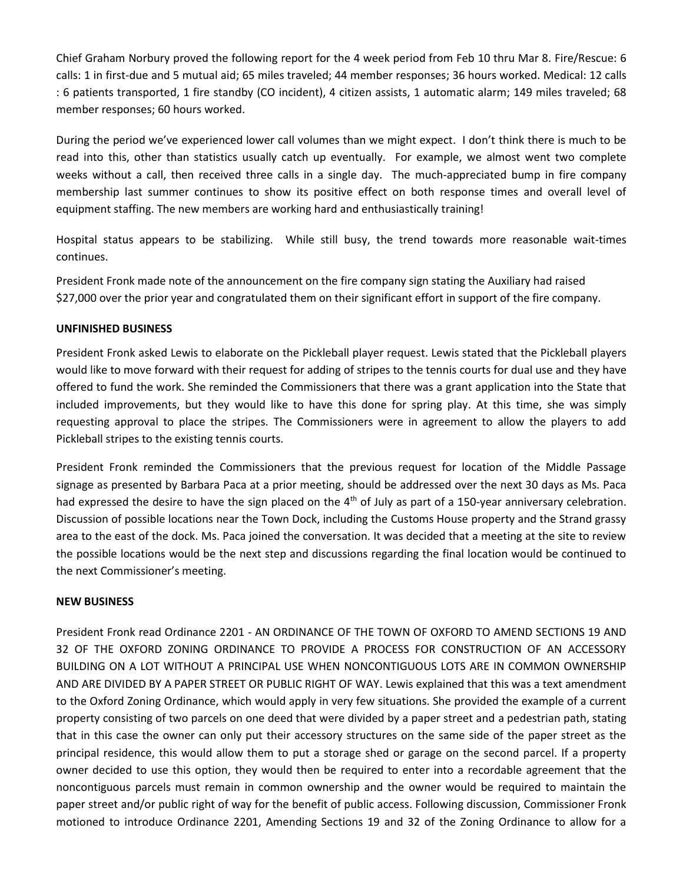Chief Graham Norbury proved the following report for the 4 week period from Feb 10 thru Mar 8. Fire/Rescue: 6 calls: 1 in first-due and 5 mutual aid; 65 miles traveled; 44 member responses; 36 hours worked. Medical: 12 calls : 6 patients transported, 1 fire standby (CO incident), 4 citizen assists, 1 automatic alarm; 149 miles traveled; 68 member responses; 60 hours worked.

During the period we've experienced lower call volumes than we might expect. I don't think there is much to be read into this, other than statistics usually catch up eventually. For example, we almost went two complete weeks without a call, then received three calls in a single day. The much-appreciated bump in fire company membership last summer continues to show its positive effect on both response times and overall level of equipment staffing. The new members are working hard and enthusiastically training!

Hospital status appears to be stabilizing. While still busy, the trend towards more reasonable wait-times continues.

President Fronk made note of the announcement on the fire company sign stating the Auxiliary had raised \$27,000 over the prior year and congratulated them on their significant effort in support of the fire company.

## **UNFINISHED BUSINESS**

President Fronk asked Lewis to elaborate on the Pickleball player request. Lewis stated that the Pickleball players would like to move forward with their request for adding of stripes to the tennis courts for dual use and they have offered to fund the work. She reminded the Commissioners that there was a grant application into the State that included improvements, but they would like to have this done for spring play. At this time, she was simply requesting approval to place the stripes. The Commissioners were in agreement to allow the players to add Pickleball stripes to the existing tennis courts.

President Fronk reminded the Commissioners that the previous request for location of the Middle Passage signage as presented by Barbara Paca at a prior meeting, should be addressed over the next 30 days as Ms. Paca had expressed the desire to have the sign placed on the  $4<sup>th</sup>$  of July as part of a 150-year anniversary celebration. Discussion of possible locations near the Town Dock, including the Customs House property and the Strand grassy area to the east of the dock. Ms. Paca joined the conversation. It was decided that a meeting at the site to review the possible locations would be the next step and discussions regarding the final location would be continued to the next Commissioner's meeting.

## **NEW BUSINESS**

President Fronk read Ordinance 2201 - AN ORDINANCE OF THE TOWN OF OXFORD TO AMEND SECTIONS 19 AND 32 OF THE OXFORD ZONING ORDINANCE TO PROVIDE A PROCESS FOR CONSTRUCTION OF AN ACCESSORY BUILDING ON A LOT WITHOUT A PRINCIPAL USE WHEN NONCONTIGUOUS LOTS ARE IN COMMON OWNERSHIP AND ARE DIVIDED BY A PAPER STREET OR PUBLIC RIGHT OF WAY. Lewis explained that this was a text amendment to the Oxford Zoning Ordinance, which would apply in very few situations. She provided the example of a current property consisting of two parcels on one deed that were divided by a paper street and a pedestrian path, stating that in this case the owner can only put their accessory structures on the same side of the paper street as the principal residence, this would allow them to put a storage shed or garage on the second parcel. If a property owner decided to use this option, they would then be required to enter into a recordable agreement that the noncontiguous parcels must remain in common ownership and the owner would be required to maintain the paper street and/or public right of way for the benefit of public access. Following discussion, Commissioner Fronk motioned to introduce Ordinance 2201, Amending Sections 19 and 32 of the Zoning Ordinance to allow for a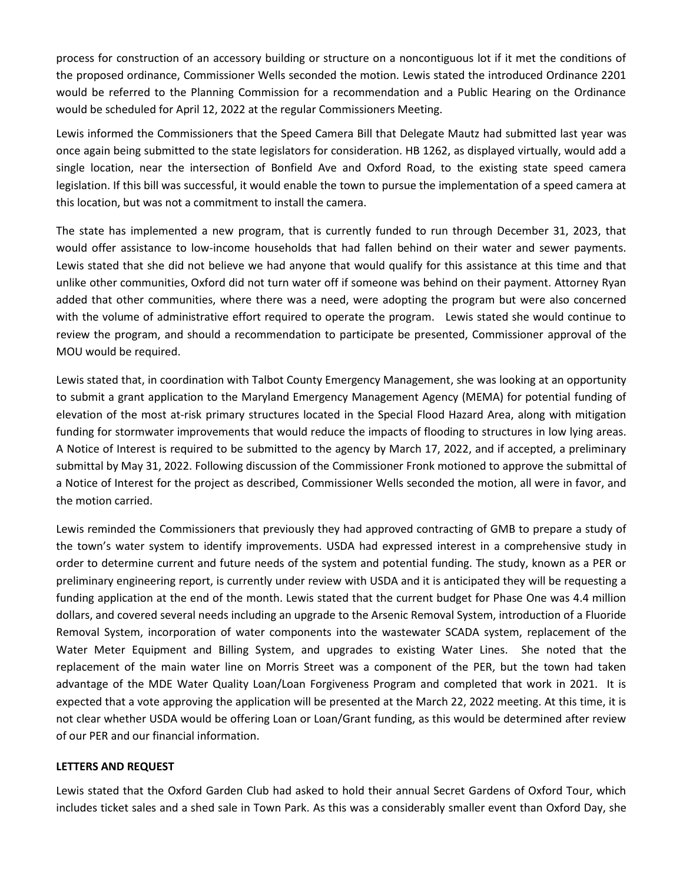process for construction of an accessory building or structure on a noncontiguous lot if it met the conditions of the proposed ordinance, Commissioner Wells seconded the motion. Lewis stated the introduced Ordinance 2201 would be referred to the Planning Commission for a recommendation and a Public Hearing on the Ordinance would be scheduled for April 12, 2022 at the regular Commissioners Meeting.

Lewis informed the Commissioners that the Speed Camera Bill that Delegate Mautz had submitted last year was once again being submitted to the state legislators for consideration. HB 1262, as displayed virtually, would add a single location, near the intersection of Bonfield Ave and Oxford Road, to the existing state speed camera legislation. If this bill was successful, it would enable the town to pursue the implementation of a speed camera at this location, but was not a commitment to install the camera.

The state has implemented a new program, that is currently funded to run through December 31, 2023, that would offer assistance to low-income households that had fallen behind on their water and sewer payments. Lewis stated that she did not believe we had anyone that would qualify for this assistance at this time and that unlike other communities, Oxford did not turn water off if someone was behind on their payment. Attorney Ryan added that other communities, where there was a need, were adopting the program but were also concerned with the volume of administrative effort required to operate the program. Lewis stated she would continue to review the program, and should a recommendation to participate be presented, Commissioner approval of the MOU would be required.

Lewis stated that, in coordination with Talbot County Emergency Management, she was looking at an opportunity to submit a grant application to the Maryland Emergency Management Agency (MEMA) for potential funding of elevation of the most at-risk primary structures located in the Special Flood Hazard Area, along with mitigation funding for stormwater improvements that would reduce the impacts of flooding to structures in low lying areas. A Notice of Interest is required to be submitted to the agency by March 17, 2022, and if accepted, a preliminary submittal by May 31, 2022. Following discussion of the Commissioner Fronk motioned to approve the submittal of a Notice of Interest for the project as described, Commissioner Wells seconded the motion, all were in favor, and the motion carried.

Lewis reminded the Commissioners that previously they had approved contracting of GMB to prepare a study of the town's water system to identify improvements. USDA had expressed interest in a comprehensive study in order to determine current and future needs of the system and potential funding. The study, known as a PER or preliminary engineering report, is currently under review with USDA and it is anticipated they will be requesting a funding application at the end of the month. Lewis stated that the current budget for Phase One was 4.4 million dollars, and covered several needs including an upgrade to the Arsenic Removal System, introduction of a Fluoride Removal System, incorporation of water components into the wastewater SCADA system, replacement of the Water Meter Equipment and Billing System, and upgrades to existing Water Lines. She noted that the replacement of the main water line on Morris Street was a component of the PER, but the town had taken advantage of the MDE Water Quality Loan/Loan Forgiveness Program and completed that work in 2021. It is expected that a vote approving the application will be presented at the March 22, 2022 meeting. At this time, it is not clear whether USDA would be offering Loan or Loan/Grant funding, as this would be determined after review of our PER and our financial information.

## **LETTERS AND REQUEST**

Lewis stated that the Oxford Garden Club had asked to hold their annual Secret Gardens of Oxford Tour, which includes ticket sales and a shed sale in Town Park. As this was a considerably smaller event than Oxford Day, she